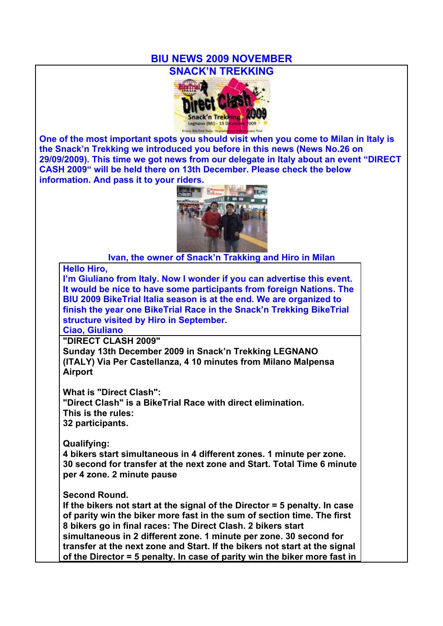## **BIU NEWS 2009 NOVEMBER**



**One of the most important spots you should visit when you come to Milan in Italy is the Snack'n Trekking we introduced you before in this news (News No.26 on 29/09/2009). This time we got news from our delegate in Italy about an event "DIRECT CASH 2009" will be held there on 13th December. Please check the below information. And pass it to your riders.**



**Ivan, the owner of Snack'n Trakking and Hiro in Milan**

## **Hello Hiro,**

**I'm Giuliano from Italy. Now I wonder if you can advertise this event. It would be nice to have some participants from foreign Nations. The BIU 2009 BikeTrial Italia season is at the end. We are organized to finish the year one BikeTrial Race in the Snack'n Trekking BikeTrial structure visited by Hiro in September.**

**Ciao, Giuliano**

**"DIRECT CLASH 2009"**

**Sunday 13th December 2009 in Snack'n Trekking LEGNANO (ITALY) Via Per Castellanza, 4 10 minutes from Milano Malpensa Airport**

**What is "Direct Clash": "Direct Clash" is a BikeTrial Race with direct elimination. This is the rules: 32 participants.**

**Qualifying:**

**4 bikers start simultaneous in 4 different zones. 1 minute per zone. 30 second for transfer at the next zone and Start. Total Time 6 minute per 4 zone. 2 minute pause**

**Second Round.**

**If the bikers not start at the signal of the Director = 5 penalty. In case of parity win the biker more fast in the sum of section time. The first 8 bikers go in final races: The Direct Clash. 2 bikers start simultaneous in 2 different zone. 1 minute per zone. 30 second for transfer at the next zone and Start. If the bikers not start at the signal of the Director = 5 penalty. In case of parity win the biker more fast in**